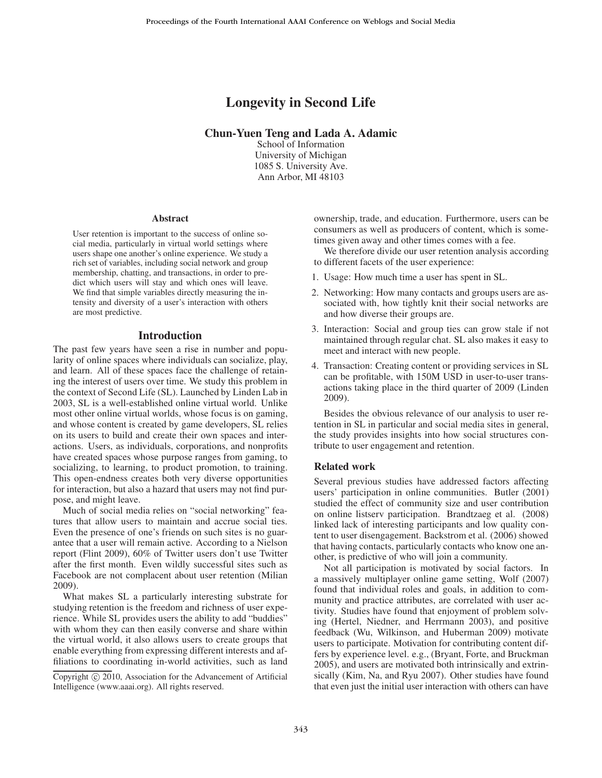# Longevity in Second Life

# Chun-Yuen Teng and Lada A. Adamic

School of Information University of Michigan 1085 S. University Ave. Ann Arbor, MI 48103

#### **Abstract**

User retention is important to the success of online social media, particularly in virtual world settings where users shape one another's online experience. We study a rich set of variables, including social network and group membership, chatting, and transactions, in order to predict which users will stay and which ones will leave. We find that simple variables directly measuring the intensity and diversity of a user's interaction with others are most predictive.

#### Introduction

The past few years have seen a rise in number and popularity of online spaces where individuals can socialize, play, and learn. All of these spaces face the challenge of retaining the interest of users over time. We study this problem in the context of Second Life (SL). Launched by Linden Lab in 2003, SL is a well-established online virtual world. Unlike most other online virtual worlds, whose focus is on gaming, and whose content is created by game developers, SL relies on its users to build and create their own spaces and interactions. Users, as individuals, corporations, and nonprofits have created spaces whose purpose ranges from gaming, to socializing, to learning, to product promotion, to training. This open-endness creates both very diverse opportunities for interaction, but also a hazard that users may not find purpose, and might leave.

Much of social media relies on "social networking" features that allow users to maintain and accrue social ties. Even the presence of one's friends on such sites is no guarantee that a user will remain active. According to a Nielson report (Flint 2009), 60% of Twitter users don't use Twitter after the first month. Even wildly successful sites such as Facebook are not complacent about user retention (Milian 2009).

What makes SL a particularly interesting substrate for studying retention is the freedom and richness of user experience. While SL provides users the ability to add "buddies" with whom they can then easily converse and share within the virtual world, it also allows users to create groups that enable everything from expressing different interests and affiliations to coordinating in-world activities, such as land ownership, trade, and education. Furthermore, users can be consumers as well as producers of content, which is sometimes given away and other times comes with a fee.

We therefore divide our user retention analysis according to different facets of the user experience:

- 1. Usage: How much time a user has spent in SL.
- 2. Networking: How many contacts and groups users are associated with, how tightly knit their social networks are and how diverse their groups are.
- 3. Interaction: Social and group ties can grow stale if not maintained through regular chat. SL also makes it easy to meet and interact with new people.
- 4. Transaction: Creating content or providing services in SL can be profitable, with 150M USD in user-to-user transactions taking place in the third quarter of 2009 (Linden 2009).

Besides the obvious relevance of our analysis to user retention in SL in particular and social media sites in general, the study provides insights into how social structures contribute to user engagement and retention.

#### Related work

Several previous studies have addressed factors affecting users' participation in online communities. Butler (2001) studied the effect of community size and user contribution on online listserv participation. Brandtzaeg et al. (2008) linked lack of interesting participants and low quality content to user disengagement. Backstrom et al. (2006) showed that having contacts, particularly contacts who know one another, is predictive of who will join a community.

Not all participation is motivated by social factors. In a massively multiplayer online game setting, Wolf (2007) found that individual roles and goals, in addition to community and practice attributes, are correlated with user activity. Studies have found that enjoyment of problem solving (Hertel, Niedner, and Herrmann 2003), and positive feedback (Wu, Wilkinson, and Huberman 2009) motivate users to participate. Motivation for contributing content differs by experience level. e.g., (Bryant, Forte, and Bruckman 2005), and users are motivated both intrinsically and extrinsically (Kim, Na, and Ryu 2007). Other studies have found that even just the initial user interaction with others can have

Copyright  $\odot$  2010, Association for the Advancement of Artificial Intelligence (www.aaai.org). All rights reserved.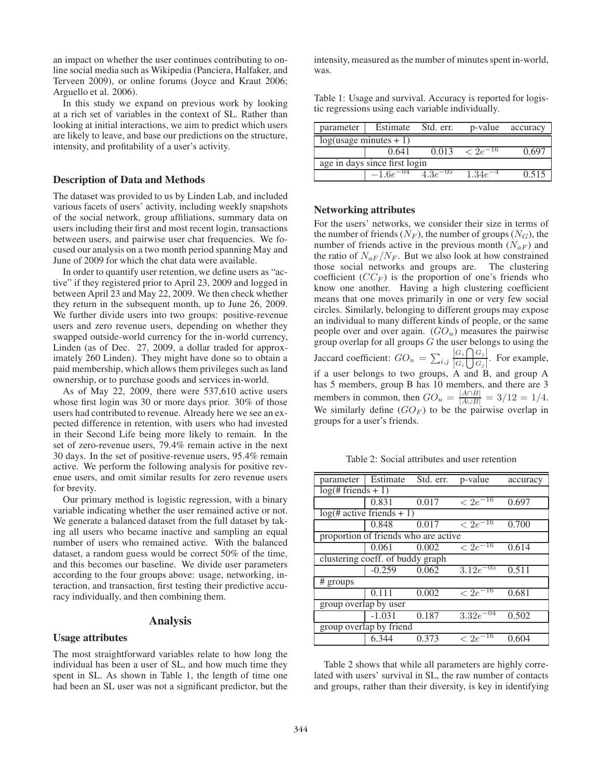an impact on whether the user continues contributing to online social media such as Wikipedia (Panciera, Halfaker, and Terveen 2009), or online forums (Joyce and Kraut 2006; Arguello et al. 2006).

In this study we expand on previous work by looking at a rich set of variables in the context of SL. Rather than looking at initial interactions, we aim to predict which users are likely to leave, and base our predictions on the structure, intensity, and profitability of a user's activity.

#### Description of Data and Methods

The dataset was provided to us by Linden Lab, and included various facets of users' activity, including weekly snapshots of the social network, group affiliations, summary data on users including their first and most recent login, transactions between users, and pairwise user chat frequencies. We focused our analysis on a two month period spanning May and June of 2009 for which the chat data were available.

In order to quantify user retention, we define users as "active" if they registered prior to April 23, 2009 and logged in between April 23 and May 22, 2009. We then check whether they return in the subsequent month, up to June 26, 2009. We further divide users into two groups: positive-revenue users and zero revenue users, depending on whether they swapped outside-world currency for the in-world currency, Linden (as of Dec. 27, 2009, a dollar traded for approximately 260 Linden). They might have done so to obtain a paid membership, which allows them privileges such as land ownership, or to purchase goods and services in-world.

As of May 22, 2009, there were 537,610 active users whose first login was 30 or more days prior. 30% of those users had contributed to revenue. Already here we see an expected difference in retention, with users who had invested in their Second Life being more likely to remain. In the set of zero-revenue users, 79.4% remain active in the next 30 days. In the set of positive-revenue users, 95.4% remain active. We perform the following analysis for positive revenue users, and omit similar results for zero revenue users for brevity.

Our primary method is logistic regression, with a binary variable indicating whether the user remained active or not. We generate a balanced dataset from the full dataset by taking all users who became inactive and sampling an equal number of users who remained active. With the balanced dataset, a random guess would be correct 50% of the time, and this becomes our baseline. We divide user parameters according to the four groups above: usage, networking, interaction, and transaction, first testing their predictive accuracy individually, and then combining them.

### Analysis

#### Usage attributes

The most straightforward variables relate to how long the individual has been a user of SL, and how much time they spent in SL. As shown in Table 1, the length of time one had been an SL user was not a significant predictor, but the

intensity, measured as the number of minutes spent in-world, was.

Table 1: Usage and survival. Accuracy is reported for logistic regressions using each variable individually.

| parameter                     | Estimate      | Std. err.    | p-value         | accuracy |
|-------------------------------|---------------|--------------|-----------------|----------|
| $log($ usage minutes + 1)     |               |              |                 |          |
|                               | 0.641         | 0.013        | $\leq 2e^{-16}$ |          |
| age in days since first login |               |              |                 |          |
|                               | $-1.6e^{-04}$ | $4.3e^{-05}$ | $1.34e^{-4}$    | 0.515    |
|                               |               |              |                 |          |

# Networking attributes

For the users' networks, we consider their size in terms of the number of friends  $(N_F)$ , the number of groups  $(N_G)$ , the number of friends active in the previous month  $(N_{aF})$  and the ratio of  $N_{aF}/N_F$ . But we also look at how constrained those social networks and groups are. The clustering coefficient  $(CC_F)$  is the proportion of one's friends who know one another. Having a high clustering coefficient means that one moves primarily in one or very few social circles. Similarly, belonging to different groups may expose an individual to many different kinds of people, or the same people over and over again.  $(GO<sub>u</sub>)$  measures the pairwise group overlap for all groups  $G$  the user belongs to using the Jaccard coefficient:  $GO_u = \sum_{i,j} \frac{|G_i \bigcap G_j|}{|G_i \bigcup G_j|}$  $\frac{|G_i|}{|G_i|}\frac{|G_j|}{|G_j|}$ . For example, if a user belongs to two groups, A and B, and group A has 5 members, group B has 10 members, and there are 3 members in common, then  $GO_u = \frac{|A \cap B|}{|A \cup B|} = 3/12 = 1/4$ . We similarly define  $(GO_F)$  to be the pairwise overlap in groups for a user's friends.

Table 2: Social attributes and user retention

| parameter                            | Estimate | Std. err. | p-value                  | accuracy |  |
|--------------------------------------|----------|-----------|--------------------------|----------|--|
| $log(# friends + 1)$                 |          |           |                          |          |  |
|                                      | 0.831    | 0.017     | $\sqrt{2e^{-16}}$        | 0.697    |  |
| $log(# active friends + 1)$          |          |           |                          |          |  |
|                                      | 0.848    | 0.017     | $\sqrt{2e^{-16}}$        | 0.700    |  |
| proportion of friends who are active |          |           |                          |          |  |
|                                      | 0.061    | 0.002     | $\sqrt{2e^{-16}}$        | 0.614    |  |
| clustering coeff. of buddy graph     |          |           |                          |          |  |
|                                      | $-0.259$ | 0.062     | $3.12e^{-05}$            | 0.511    |  |
| # groups                             |          |           |                          |          |  |
|                                      | 0.111    | 0.002     | $\sqrt{2e^{-16}}$        | 0.681    |  |
| group overlap by user                |          |           |                          |          |  |
|                                      | $-1.031$ | 0.187     | $3.\overline{32e^{-04}}$ | 0.502    |  |
| group overlap by friend              |          |           |                          |          |  |
|                                      | 6.344    | 0.373     | $\rm < 2e^{-16}$         | 0.604    |  |
|                                      |          |           |                          |          |  |

Table 2 shows that while all parameters are highly correlated with users' survival in SL, the raw number of contacts and groups, rather than their diversity, is key in identifying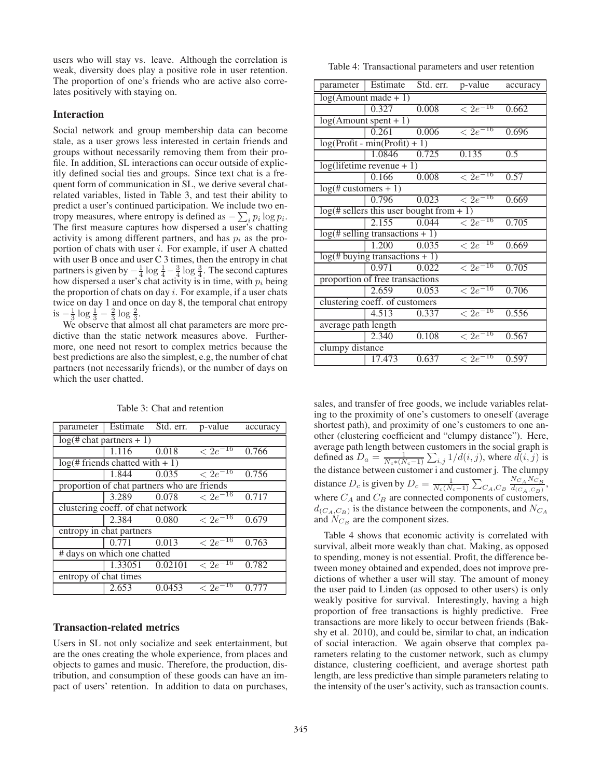users who will stay vs. leave. Although the correlation is weak, diversity does play a positive role in user retention. The proportion of one's friends who are active also correlates positively with staying on.

### Interaction

Social network and group membership data can become stale, as a user grows less interested in certain friends and groups without necessarily removing them from their profile. In addition, SL interactions can occur outside of explicitly defined social ties and groups. Since text chat is a frequent form of communication in SL, we derive several chatrelated variables, listed in Table 3, and test their ability to predict a user's continued participation. We include two entropy measures, where entropy is defined as  $-\sum_i p_i \log p_i$ .<br>The first measure cantures how dispersed a user's chatting The first measure captures how dispersed a user's chatting activity is among different partners, and has  $p_i$  as the proportion of chats with user  $i$ . For example, if user A chatted with user B once and user C 3 times, then the entropy in chat partners is given by  $-\frac{1}{4} \log \frac{1}{4} - \frac{3}{4} \log \frac{3}{4}$ . The second captures how dispersed a user's chat activity is in time, with  $n_i$  being how dispersed a user's chat activity is in time, with  $p_i$  being the proportion of chats on day  $i$ . For example, if a user chats twice on day 1 and once on day 8, the temporal chat entropy is  $-\frac{1}{3}\log\frac{1}{3}-\frac{2}{3}\log\frac{2}{3}$ .<br>We observe that alm

We observe that almost all chat parameters are more predictive than the static network measures above. Furthermore, one need not resort to complex metrics because the best predictions are also the simplest, e.g, the number of chat partners (not necessarily friends), or the number of days on which the user chatted.

| parameter                                   | Estimate                                     | Std. err. | p-value                | accuracy |  |  |
|---------------------------------------------|----------------------------------------------|-----------|------------------------|----------|--|--|
|                                             | $log(# chart partners + 1)$                  |           |                        |          |  |  |
|                                             | 1.116                                        | 0.018     | $\overline{<2e^{-16}}$ | 0.766    |  |  |
|                                             | $log(\frac{1}{2})$ friends chatted with + 1) |           |                        |          |  |  |
|                                             | 1.844                                        | 0.035     | $\rm < 2e^{-16}$       | 0.756    |  |  |
| proportion of chat partners who are friends |                                              |           |                        |          |  |  |
|                                             | 3.289                                        | 0.078     | $\sqrt{2e^{-16}}$      | 0.717    |  |  |
| clustering coeff. of chat network           |                                              |           |                        |          |  |  |
|                                             | 2.384                                        | 0.080     | $\sqrt{2e^{-16}}$      | 0.679    |  |  |
| entropy in chat partners                    |                                              |           |                        |          |  |  |
|                                             | 0.771                                        | 0.013     | $\sqrt{2e^{-16}}$      | 0.763    |  |  |
| # days on which one chatted                 |                                              |           |                        |          |  |  |
|                                             | 1.33051                                      | 0.02101   | $\rm < 2e^{-16}$       | 0.782    |  |  |
| entropy of chat times                       |                                              |           |                        |          |  |  |
|                                             | 2.653                                        | 0.0453    | $\rm < 2e^{-16}$       | 0.777    |  |  |
|                                             |                                              |           |                        |          |  |  |

Table 3: Chat and retention

# Transaction-related metrics

Users in SL not only socialize and seek entertainment, but are the ones creating the whole experience, from places and objects to games and music. Therefore, the production, distribution, and consumption of these goods can have an impact of users' retention. In addition to data on purchases,

Table 4: Transactional parameters and user retention

| parameter                         | Estimate                                   | Std. err. | p-value           | accuracy |  |  |
|-----------------------------------|--------------------------------------------|-----------|-------------------|----------|--|--|
| $log(A$ mount made + 1)           |                                            |           |                   |          |  |  |
|                                   | 0.327                                      | 0.008     | $\sqrt{2e^{-16}}$ | 0.662    |  |  |
|                                   | $log(A$ mount spent + 1)                   |           |                   |          |  |  |
|                                   | 0.261                                      | 0.006     | $\rm < 2e^{-16}$  | 0.696    |  |  |
|                                   | $log(Profit - min(Profit) + 1))$           |           |                   |          |  |  |
|                                   | 1.0846                                     | 0.725     | 0.135             | 0.5      |  |  |
|                                   | $log(lifetime revenue + 1)$                |           |                   |          |  |  |
|                                   | 0.166                                      | 0.008     | $\sqrt{2e^{-16}}$ | 0.57     |  |  |
| $log(# customers + 1)$            |                                            |           |                   |          |  |  |
|                                   | 0.796                                      | 0.023     | $\sqrt{2e^{-16}}$ | 0.669    |  |  |
|                                   | $log(# sellers this user bought from + 1)$ |           |                   |          |  |  |
|                                   | 2.155                                      | 0.044     | $\rm < 2e^{-16}$  | 0.705    |  |  |
| $log(# selling transactions + 1)$ |                                            |           |                   |          |  |  |
|                                   | 1.200                                      | 0.035     | $\sqrt{2e^{-16}}$ | 0.669    |  |  |
| $log(# buying transactions + 1)$  |                                            |           |                   |          |  |  |
|                                   | 0.971                                      | 0.022     | $\sqrt{2e^{-16}}$ | 0.705    |  |  |
| proportion of free transactions   |                                            |           |                   |          |  |  |
|                                   | 2.659                                      | 0.053     | $\sqrt{2e^{-16}}$ | 0.706    |  |  |
| clustering coeff. of customers    |                                            |           |                   |          |  |  |
|                                   | 4.513                                      | 0.337     | $\sqrt{2e^{-16}}$ | 0.556    |  |  |
| average path length               |                                            |           |                   |          |  |  |
|                                   | 2.340                                      | 0.108     | $\sqrt{2e^{-16}}$ | 0.567    |  |  |
| clumpy distance                   |                                            |           |                   |          |  |  |
|                                   | 17.473                                     | 0.637     | $\sqrt{2e^{-16}}$ | 0.597    |  |  |

sales, and transfer of free goods, we include variables relating to the proximity of one's customers to oneself (average shortest path), and proximity of one's customers to one another (clustering coefficient and "clumpy distance"). Here, average path length between customers in the social graph is defined as  $D_a = \frac{1}{N_c * (N_c - 1)} \sum_{i,j} 1/d(i,j)$ , where  $\overline{d}(i,j)$  is the distance between customer i and customer j. The clumpy distance  $D_c$  is given by  $D_c = \frac{1}{N_c(N_c-1)} \sum_{C_A, C_B} \frac{N_{C_A} N_{C_B}}{d_{(C_A, C_B)}},$ where  $C_A$  and  $C_B$  are connected components of customers,  $d_{(C_A,C_B)}$  is the distance between the components, and  $N_{C_A}$ and  $N_{C_B}$  are the component sizes.

Table 4 shows that economic activity is correlated with survival, albeit more weakly than chat. Making, as opposed to spending, money is not essential. Profit, the difference between money obtained and expended, does not improve predictions of whether a user will stay. The amount of money the user paid to Linden (as opposed to other users) is only weakly positive for survival. Interestingly, having a high proportion of free transactions is highly predictive. Free transactions are more likely to occur between friends (Bakshy et al. 2010), and could be, similar to chat, an indication of social interaction. We again observe that complex parameters relating to the customer network, such as clumpy distance, clustering coefficient, and average shortest path length, are less predictive than simple parameters relating to the intensity of the user's activity, such as transaction counts.